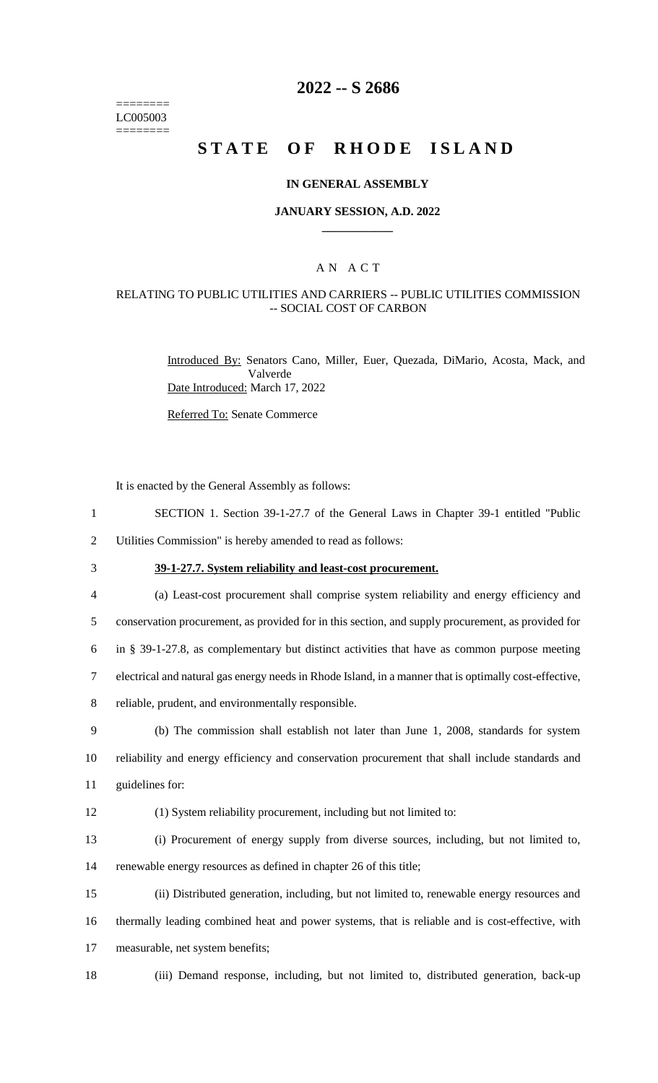======== LC005003 ========

# **2022 -- S 2686**

# **STATE OF RHODE ISLAND**

#### **IN GENERAL ASSEMBLY**

#### **JANUARY SESSION, A.D. 2022 \_\_\_\_\_\_\_\_\_\_\_\_**

### A N A C T

### RELATING TO PUBLIC UTILITIES AND CARRIERS -- PUBLIC UTILITIES COMMISSION -- SOCIAL COST OF CARBON

Introduced By: Senators Cano, Miller, Euer, Quezada, DiMario, Acosta, Mack, and Valverde Date Introduced: March 17, 2022

Referred To: Senate Commerce

It is enacted by the General Assembly as follows:

- 1 SECTION 1. Section 39-1-27.7 of the General Laws in Chapter 39-1 entitled "Public
- 2 Utilities Commission" is hereby amended to read as follows:
- 

3 **39-1-27.7. System reliability and least-cost procurement.**

 (a) Least-cost procurement shall comprise system reliability and energy efficiency and conservation procurement, as provided for in this section, and supply procurement, as provided for in § 39-1-27.8, as complementary but distinct activities that have as common purpose meeting electrical and natural gas energy needs in Rhode Island, in a manner that is optimally cost-effective, reliable, prudent, and environmentally responsible. (b) The commission shall establish not later than June 1, 2008, standards for system

10 reliability and energy efficiency and conservation procurement that shall include standards and 11 guidelines for:

12 (1) System reliability procurement, including but not limited to:

13 (i) Procurement of energy supply from diverse sources, including, but not limited to, 14 renewable energy resources as defined in chapter 26 of this title;

15 (ii) Distributed generation, including, but not limited to, renewable energy resources and 16 thermally leading combined heat and power systems, that is reliable and is cost-effective, with 17 measurable, net system benefits;

18 (iii) Demand response, including, but not limited to, distributed generation, back-up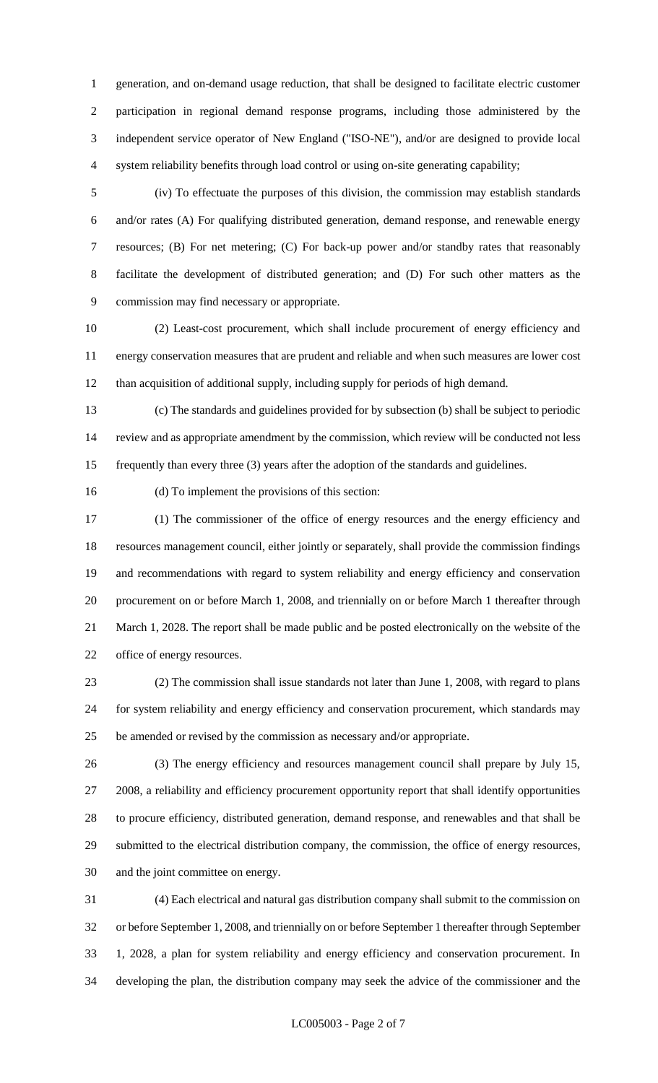generation, and on-demand usage reduction, that shall be designed to facilitate electric customer participation in regional demand response programs, including those administered by the independent service operator of New England ("ISO-NE"), and/or are designed to provide local system reliability benefits through load control or using on-site generating capability;

 (iv) To effectuate the purposes of this division, the commission may establish standards and/or rates (A) For qualifying distributed generation, demand response, and renewable energy resources; (B) For net metering; (C) For back-up power and/or standby rates that reasonably facilitate the development of distributed generation; and (D) For such other matters as the commission may find necessary or appropriate.

 (2) Least-cost procurement, which shall include procurement of energy efficiency and energy conservation measures that are prudent and reliable and when such measures are lower cost than acquisition of additional supply, including supply for periods of high demand.

 (c) The standards and guidelines provided for by subsection (b) shall be subject to periodic review and as appropriate amendment by the commission, which review will be conducted not less frequently than every three (3) years after the adoption of the standards and guidelines.

(d) To implement the provisions of this section:

 (1) The commissioner of the office of energy resources and the energy efficiency and resources management council, either jointly or separately, shall provide the commission findings and recommendations with regard to system reliability and energy efficiency and conservation procurement on or before March 1, 2008, and triennially on or before March 1 thereafter through March 1, 2028. The report shall be made public and be posted electronically on the website of the office of energy resources.

 (2) The commission shall issue standards not later than June 1, 2008, with regard to plans for system reliability and energy efficiency and conservation procurement, which standards may be amended or revised by the commission as necessary and/or appropriate.

 (3) The energy efficiency and resources management council shall prepare by July 15, 2008, a reliability and efficiency procurement opportunity report that shall identify opportunities to procure efficiency, distributed generation, demand response, and renewables and that shall be submitted to the electrical distribution company, the commission, the office of energy resources, and the joint committee on energy.

 (4) Each electrical and natural gas distribution company shall submit to the commission on or before September 1, 2008, and triennially on or before September 1 thereafter through September 1, 2028, a plan for system reliability and energy efficiency and conservation procurement. In developing the plan, the distribution company may seek the advice of the commissioner and the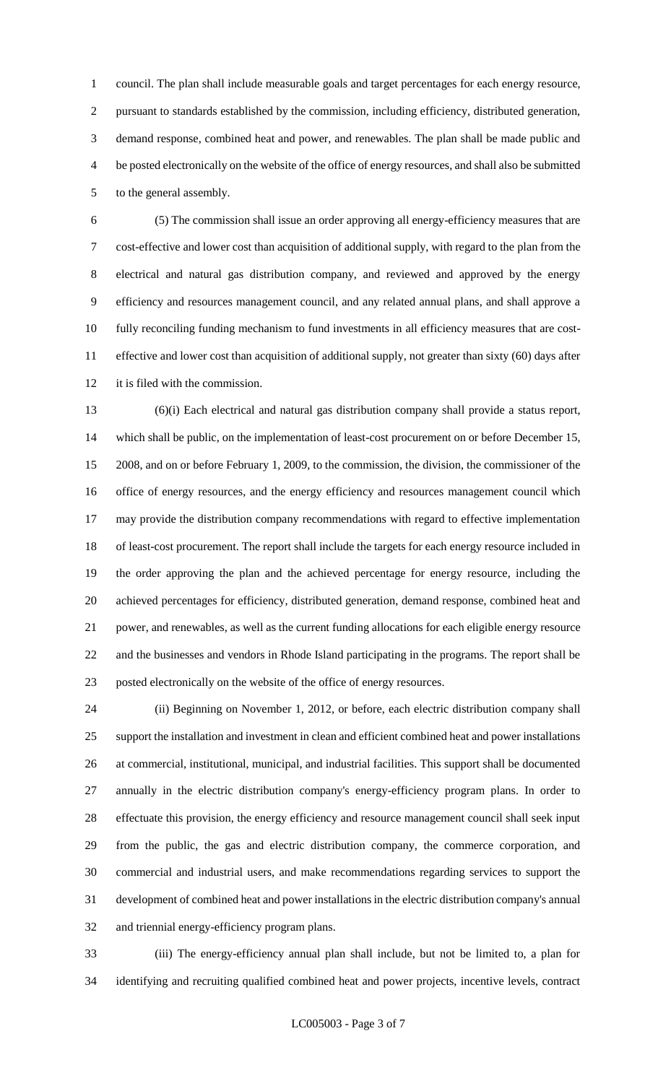council. The plan shall include measurable goals and target percentages for each energy resource, pursuant to standards established by the commission, including efficiency, distributed generation, demand response, combined heat and power, and renewables. The plan shall be made public and be posted electronically on the website of the office of energy resources, and shall also be submitted to the general assembly.

 (5) The commission shall issue an order approving all energy-efficiency measures that are cost-effective and lower cost than acquisition of additional supply, with regard to the plan from the electrical and natural gas distribution company, and reviewed and approved by the energy efficiency and resources management council, and any related annual plans, and shall approve a fully reconciling funding mechanism to fund investments in all efficiency measures that are cost- effective and lower cost than acquisition of additional supply, not greater than sixty (60) days after it is filed with the commission.

 (6)(i) Each electrical and natural gas distribution company shall provide a status report, 14 which shall be public, on the implementation of least-cost procurement on or before December 15, 2008, and on or before February 1, 2009, to the commission, the division, the commissioner of the office of energy resources, and the energy efficiency and resources management council which may provide the distribution company recommendations with regard to effective implementation of least-cost procurement. The report shall include the targets for each energy resource included in the order approving the plan and the achieved percentage for energy resource, including the achieved percentages for efficiency, distributed generation, demand response, combined heat and power, and renewables, as well as the current funding allocations for each eligible energy resource and the businesses and vendors in Rhode Island participating in the programs. The report shall be posted electronically on the website of the office of energy resources.

 (ii) Beginning on November 1, 2012, or before, each electric distribution company shall support the installation and investment in clean and efficient combined heat and power installations at commercial, institutional, municipal, and industrial facilities. This support shall be documented annually in the electric distribution company's energy-efficiency program plans. In order to effectuate this provision, the energy efficiency and resource management council shall seek input from the public, the gas and electric distribution company, the commerce corporation, and commercial and industrial users, and make recommendations regarding services to support the development of combined heat and power installations in the electric distribution company's annual and triennial energy-efficiency program plans.

 (iii) The energy-efficiency annual plan shall include, but not be limited to, a plan for identifying and recruiting qualified combined heat and power projects, incentive levels, contract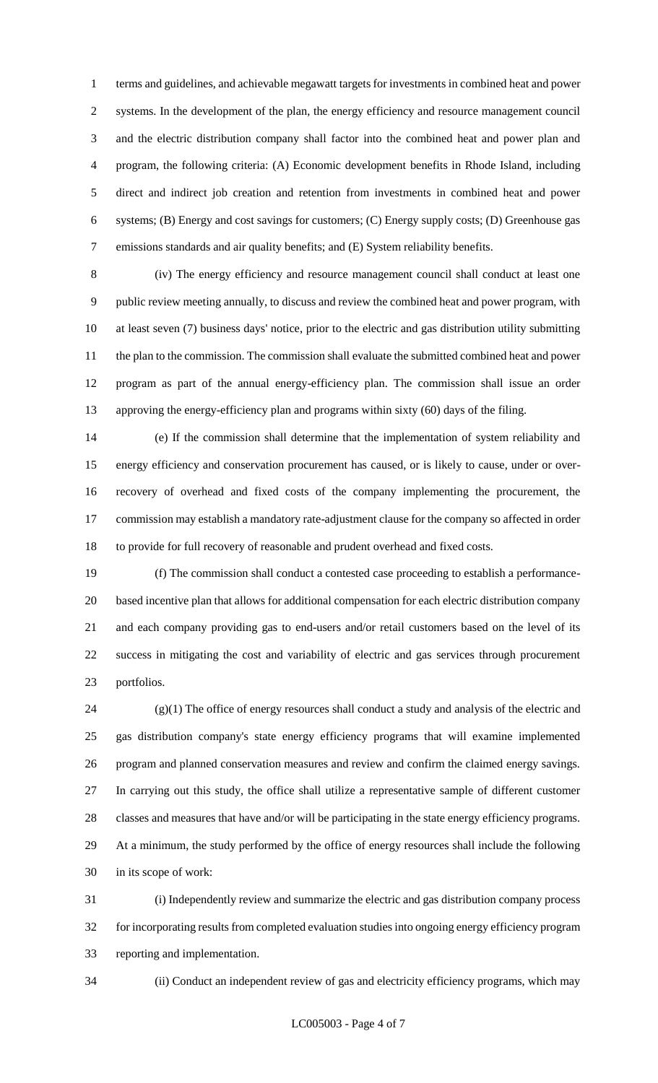terms and guidelines, and achievable megawatt targets for investments in combined heat and power systems. In the development of the plan, the energy efficiency and resource management council and the electric distribution company shall factor into the combined heat and power plan and program, the following criteria: (A) Economic development benefits in Rhode Island, including direct and indirect job creation and retention from investments in combined heat and power systems; (B) Energy and cost savings for customers; (C) Energy supply costs; (D) Greenhouse gas emissions standards and air quality benefits; and (E) System reliability benefits.

 (iv) The energy efficiency and resource management council shall conduct at least one public review meeting annually, to discuss and review the combined heat and power program, with at least seven (7) business days' notice, prior to the electric and gas distribution utility submitting the plan to the commission. The commission shall evaluate the submitted combined heat and power program as part of the annual energy-efficiency plan. The commission shall issue an order approving the energy-efficiency plan and programs within sixty (60) days of the filing.

 (e) If the commission shall determine that the implementation of system reliability and energy efficiency and conservation procurement has caused, or is likely to cause, under or over- recovery of overhead and fixed costs of the company implementing the procurement, the commission may establish a mandatory rate-adjustment clause for the company so affected in order to provide for full recovery of reasonable and prudent overhead and fixed costs.

 (f) The commission shall conduct a contested case proceeding to establish a performance- based incentive plan that allows for additional compensation for each electric distribution company and each company providing gas to end-users and/or retail customers based on the level of its success in mitigating the cost and variability of electric and gas services through procurement portfolios.

 (g)(1) The office of energy resources shall conduct a study and analysis of the electric and gas distribution company's state energy efficiency programs that will examine implemented program and planned conservation measures and review and confirm the claimed energy savings. In carrying out this study, the office shall utilize a representative sample of different customer classes and measures that have and/or will be participating in the state energy efficiency programs. At a minimum, the study performed by the office of energy resources shall include the following in its scope of work:

 (i) Independently review and summarize the electric and gas distribution company process for incorporating results from completed evaluation studies into ongoing energy efficiency program reporting and implementation.

(ii) Conduct an independent review of gas and electricity efficiency programs, which may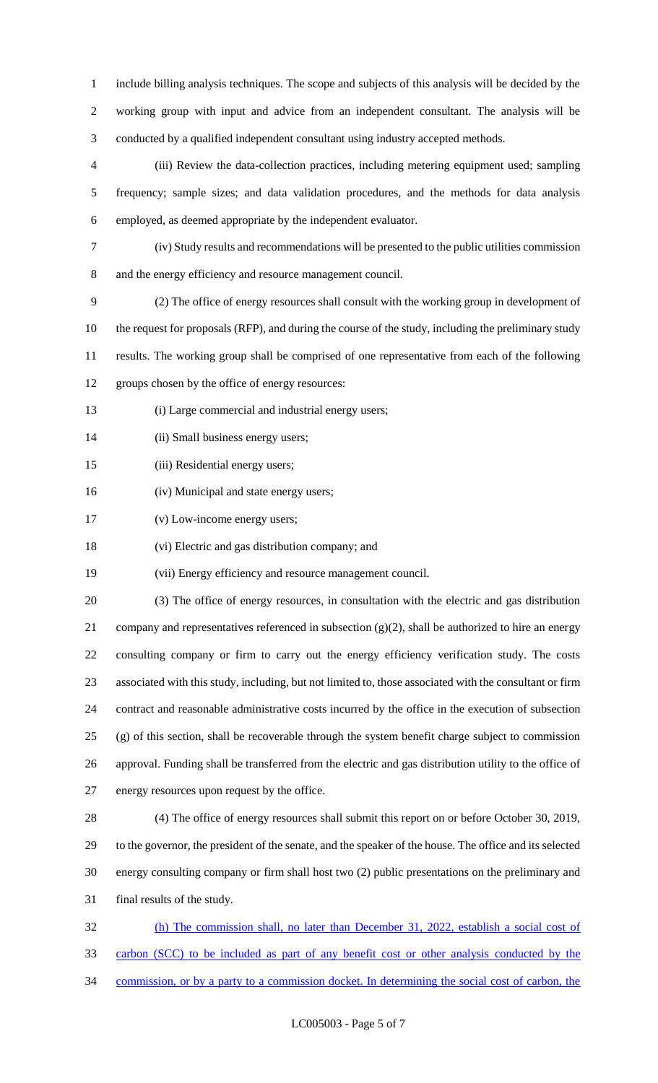include billing analysis techniques. The scope and subjects of this analysis will be decided by the working group with input and advice from an independent consultant. The analysis will be conducted by a qualified independent consultant using industry accepted methods.

 (iii) Review the data-collection practices, including metering equipment used; sampling frequency; sample sizes; and data validation procedures, and the methods for data analysis employed, as deemed appropriate by the independent evaluator.

(iv) Study results and recommendations will be presented to the public utilities commission

and the energy efficiency and resource management council.

 (2) The office of energy resources shall consult with the working group in development of the request for proposals (RFP), and during the course of the study, including the preliminary study results. The working group shall be comprised of one representative from each of the following groups chosen by the office of energy resources:

- (i) Large commercial and industrial energy users;
- (ii) Small business energy users;
- (iii) Residential energy users;
- (iv) Municipal and state energy users;
- (v) Low-income energy users;

(vi) Electric and gas distribution company; and

(vii) Energy efficiency and resource management council.

 (3) The office of energy resources, in consultation with the electric and gas distribution company and representatives referenced in subsection (g)(2), shall be authorized to hire an energy consulting company or firm to carry out the energy efficiency verification study. The costs associated with this study, including, but not limited to, those associated with the consultant or firm contract and reasonable administrative costs incurred by the office in the execution of subsection (g) of this section, shall be recoverable through the system benefit charge subject to commission approval. Funding shall be transferred from the electric and gas distribution utility to the office of energy resources upon request by the office.

 (4) The office of energy resources shall submit this report on or before October 30, 2019, to the governor, the president of the senate, and the speaker of the house. The office and its selected energy consulting company or firm shall host two (2) public presentations on the preliminary and final results of the study.

 (h) The commission shall, no later than December 31, 2022, establish a social cost of carbon (SCC) to be included as part of any benefit cost or other analysis conducted by the commission, or by a party to a commission docket. In determining the social cost of carbon, the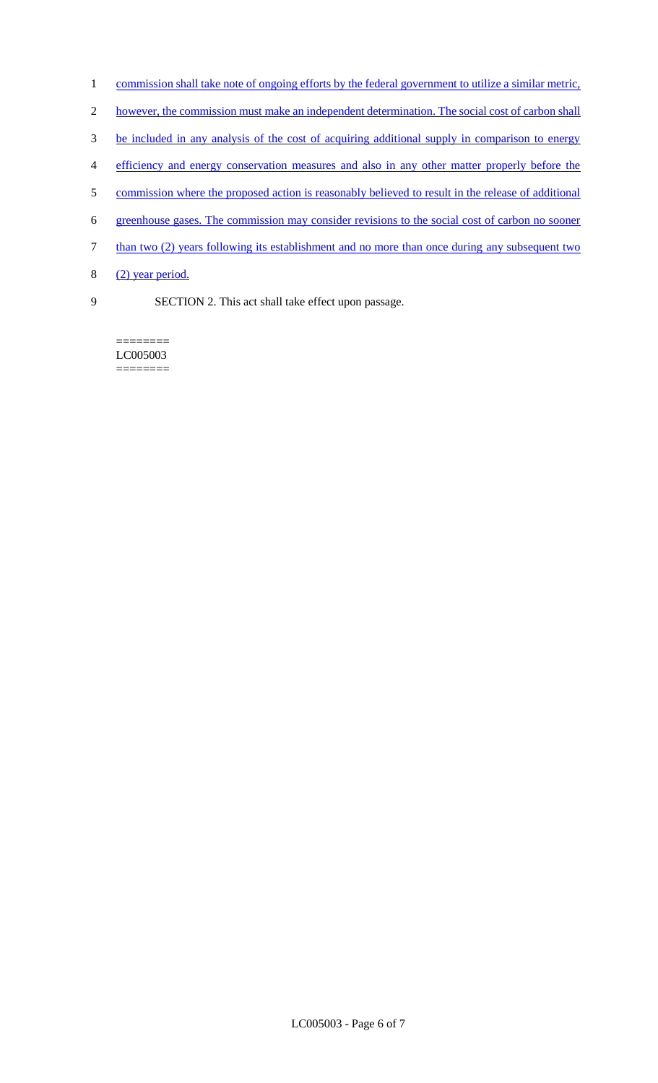- 1 commission shall take note of ongoing efforts by the federal government to utilize a similar metric,
- 2 however, the commission must make an independent determination. The social cost of carbon shall
- 3 be included in any analysis of the cost of acquiring additional supply in comparison to energy
- 4 efficiency and energy conservation measures and also in any other matter properly before the
- 5 commission where the proposed action is reasonably believed to result in the release of additional
- 6 greenhouse gases. The commission may consider revisions to the social cost of carbon no sooner
- 7 than two (2) years following its establishment and no more than once during any subsequent two
- 8  $(2)$  year period.
- 9 SECTION 2. This act shall take effect upon passage.

======== LC005003 ========